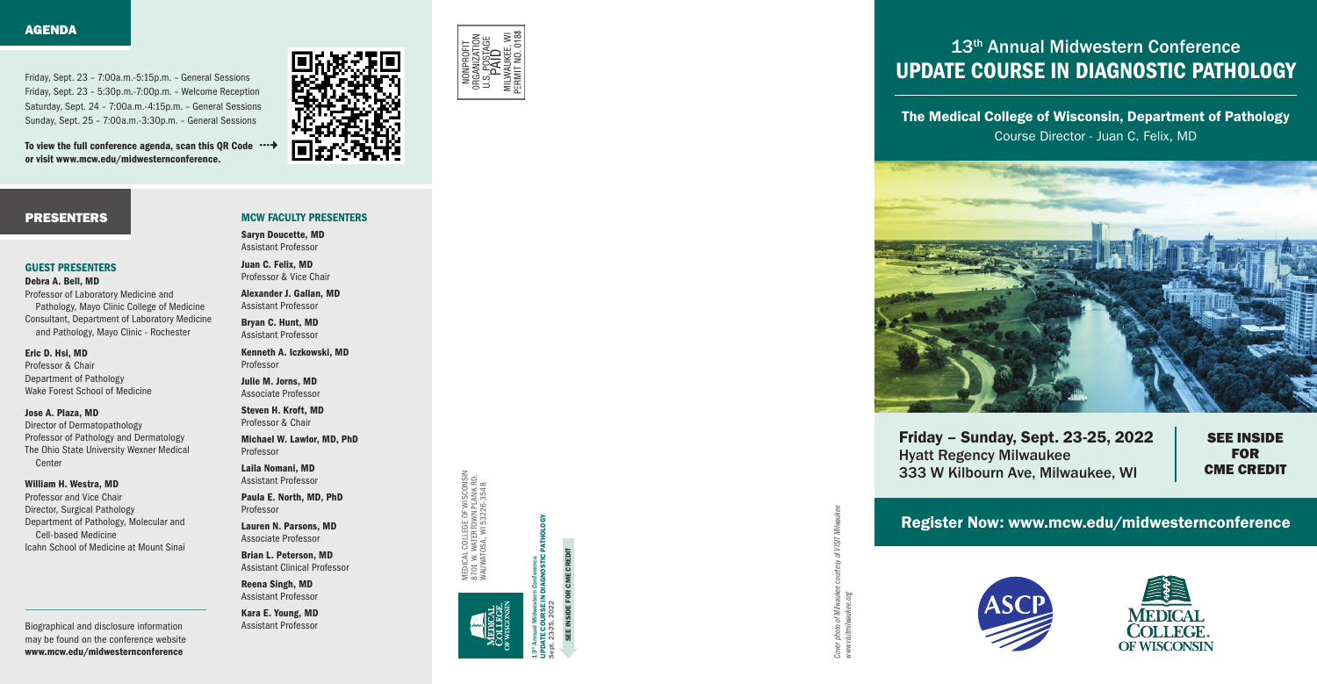Register Now: www.mcw.edu/midwesternconference



*www.visitmilwaukee.org* of Mil nisit<br>M

*Cover photo of Milwaukee courtesy of VISIT Milwaukee* 

## PRESENTERS

To view the full conference agenda, scan this QR Code  $\cdots$   $\rightarrow$ or visit www.mcw.edu/midwesternconference.

Friday, Sept. 23 – 7:00a.m.-5:15p.m. – General Sessions Friday, Sept. 23 – 5:30p.m.-7:00p.m. – Welcome Reception Saturday, Sept. 24 – 7:00a.m.-4:15p.m. – General Sessions Sunday, Sept. 25 – 7:00a.m.-3:30p.m. – General Sessions

> CME CREDIT SEE INSIDE FOR CME CREDIT

# 13th Annual Midwestern Conference UPDATE COURSE IN DIAGNOSTIC PATHOLOGY

UPDATE COURSE IN DIAGNOSTIC PATHOLOGY m Conterence<br>DIAGNOSTIC PATHOLOGY Sept. 23-25, 2022

13<sup>th</sup> Annual Midwestern Conference

MEDICAL COLLEGE OF WISCONSIN MEDICAL COLLEGE OF WISCONSII<br>3701 W. WATERTOWN PLANK RD.<br>MAUWATOSA, WI 53226-3548 8701 W. WATERTOWN PLANK RD. WAUWATOSA, WI 53226-3548

Director of Dermatopathology Professor of Pathology and Dermatology The Ohio State University Wexner Medical **Center** 

Biographical and disclosure information may be found on the conference website www.mcw.edu/midwesternconference

The Medical College of Wisconsin, Department of Pathology Course Director - Juan C. Felix, MD



Friday – Sunday, Sept. 23-25, 2022 Hyatt Regency Milwaukee 333 W Kilbourn Ave, Milwaukee, WI

SEE INSIDE FOR CME CREDIT





#### GUEST PRESENTERS

Debra A. Bell, MD Professor of Laboratory Medicine and Pathology, Mayo Clinic College of Medicine Consultant, Department of Laboratory Medicine and Pathology, Mayo Clinic - Rochester

### Eric D. Hsi, MD

Professor & Chair Department of Pathology Wake Forest School of Medicine

### Jose A. Plaza, MD

### William H. Westra, MD

Professor and Vice Chair Director, Surgical Pathology Department of Pathology, Molecular and Cell-based Medicine Icahn School of Medicine at Mount Sinai

# MCW FACULTY PRESENTERS

Saryn Doucette, MD Assistant Professor

Juan C. Felix, MD Professor & Vice Chair

Alexander J. Gallan, MD Assistant Professor

Bryan C. Hunt, MD Assistant Professor

Kenneth A. Iczkowski, MD Professor

Julie M. Jorns, MD Associate Professor

Steven H. Kroft, MD Professor & Chair

Michael W. Lawlor, MD, PhD Professor

Laila Nomani, MD Assistant Professor

Paula E. North, MD, PhD Professor

Lauren N. Parsons, MD Associate Professor

Brian L. Peterson, MD Assistant Clinical Professor

Reena Singh, MD Assistant Professor

Kara E. Young, MD Assistant Professor